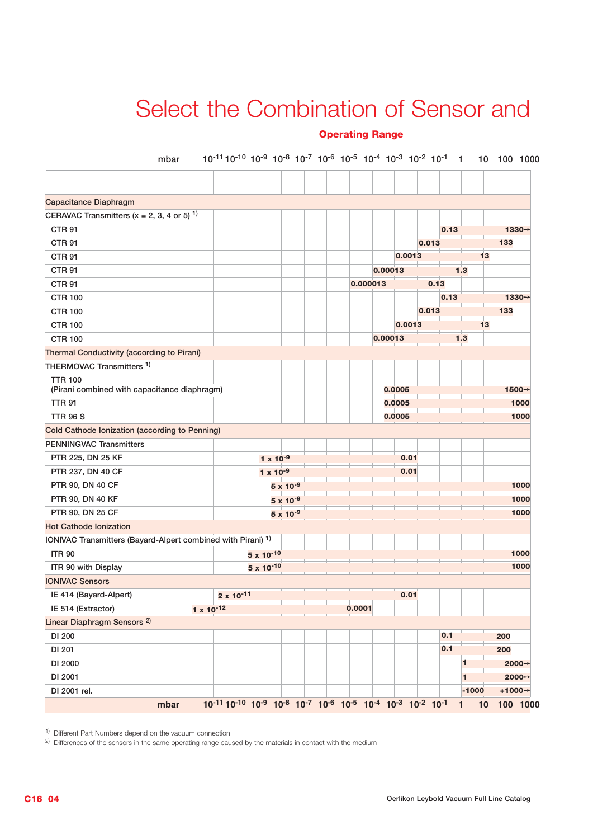## Select the Combination of Sensor and

## **Operating Range**

| mbar                                                                    |                     |                     |                     |                    | $10^{-11}10^{-10}10^{-9}10^{-8}10^{-7}10^{-6}10^{-5}10^{-4}10^{-3}10^{-2}10^{-1}1$ |         |        |       |      |         | 10 <sub>1</sub> | 100 1000            |
|-------------------------------------------------------------------------|---------------------|---------------------|---------------------|--------------------|------------------------------------------------------------------------------------|---------|--------|-------|------|---------|-----------------|---------------------|
|                                                                         |                     |                     |                     |                    |                                                                                    |         |        |       |      |         |                 |                     |
| Capacitance Diaphragm                                                   |                     |                     |                     |                    |                                                                                    |         |        |       |      |         |                 |                     |
| CERAVAC Transmitters (x = 2, 3, 4 or 5) <sup>1)</sup>                   |                     |                     |                     |                    |                                                                                    |         |        |       |      |         |                 |                     |
| <b>CTR 91</b>                                                           |                     |                     |                     |                    |                                                                                    |         |        |       | 0.13 |         |                 | 1330→               |
| <b>CTR 91</b>                                                           |                     |                     |                     |                    |                                                                                    |         |        | 0.013 |      |         | 133             |                     |
| <b>CTR 91</b>                                                           |                     |                     |                     |                    |                                                                                    |         | 0.0013 |       |      |         | 13              |                     |
| <b>CTR 91</b>                                                           |                     |                     |                     |                    |                                                                                    | 0.00013 |        |       |      | 1.3     |                 |                     |
| <b>CTR 91</b>                                                           |                     |                     |                     |                    | 0.000013                                                                           |         |        | 0.13  |      |         |                 |                     |
| <b>CTR 100</b>                                                          |                     |                     |                     |                    |                                                                                    |         |        |       | 0.13 |         |                 | 1330→               |
| <b>CTR 100</b>                                                          |                     |                     |                     |                    |                                                                                    |         |        | 0.013 |      |         | 133             |                     |
| <b>CTR 100</b>                                                          |                     |                     |                     |                    |                                                                                    |         | 0.0013 |       |      |         | 13              |                     |
| <b>CTR 100</b>                                                          |                     |                     |                     |                    |                                                                                    | 0.00013 |        |       |      | 1.3     |                 |                     |
| Thermal Conductivity (according to Pirani)                              |                     |                     |                     |                    |                                                                                    |         |        |       |      |         |                 |                     |
| THERMOVAC Transmitters <sup>1)</sup>                                    |                     |                     |                     |                    |                                                                                    |         |        |       |      |         |                 |                     |
| <b>TTR 100</b><br>(Pirani combined with capacitance diaphragm)          |                     |                     |                     |                    |                                                                                    |         | 0.0005 |       |      |         |                 | 1500→               |
| <b>TTR 91</b>                                                           |                     |                     |                     |                    |                                                                                    |         | 0.0005 |       |      |         |                 | 1000                |
| <b>TTR 96 S</b>                                                         |                     |                     |                     |                    |                                                                                    |         | 0.0005 |       |      |         |                 | 1000                |
| Cold Cathode Ionization (according to Penning)                          |                     |                     |                     |                    |                                                                                    |         |        |       |      |         |                 |                     |
| <b>PENNINGVAC Transmitters</b>                                          |                     |                     |                     |                    |                                                                                    |         |        |       |      |         |                 |                     |
| PTR 225, DN 25 KF                                                       |                     |                     | $1 \times 10^{-9}$  |                    |                                                                                    |         | 0.01   |       |      |         |                 |                     |
| PTR 237, DN 40 CF                                                       |                     |                     | $1 \times 10^{-9}$  |                    |                                                                                    |         | 0.01   |       |      |         |                 |                     |
| PTR 90, DN 40 CF                                                        |                     |                     |                     | $5 \times 10^{-9}$ |                                                                                    |         |        |       |      |         |                 | 1000                |
| PTR 90, DN 40 KF                                                        |                     |                     |                     | $5 \times 10^{-9}$ |                                                                                    |         |        |       |      |         |                 | 1000                |
| PTR 90, DN 25 CF                                                        |                     |                     |                     | $5 \times 10^{-9}$ |                                                                                    |         |        |       |      |         |                 | 1000                |
| <b>Hot Cathode Ionization</b>                                           |                     |                     |                     |                    |                                                                                    |         |        |       |      |         |                 |                     |
| IONIVAC Transmitters (Bayard-Alpert combined with Pirani) <sup>1)</sup> |                     |                     |                     |                    |                                                                                    |         |        |       |      |         |                 |                     |
| <b>ITR 90</b>                                                           |                     |                     | $5 \times 10^{-10}$ |                    |                                                                                    |         |        |       |      |         |                 | 1000                |
| ITR 90 with Display                                                     |                     |                     | $5 \times 10^{-10}$ |                    |                                                                                    |         |        |       |      |         |                 | 1000                |
| <b>IONIVAC Sensors</b>                                                  |                     |                     |                     |                    |                                                                                    |         |        |       |      |         |                 |                     |
| IE 414 (Bayard-Alpert)                                                  |                     | $2 \times 10^{-11}$ |                     |                    |                                                                                    |         | 0.01   |       |      |         |                 |                     |
| IE 514 (Extractor)                                                      | $1 \times 10^{-12}$ |                     |                     |                    | 0.0001                                                                             |         |        |       |      |         |                 |                     |
| Linear Diaphragm Sensors <sup>2)</sup>                                  |                     |                     |                     |                    |                                                                                    |         |        |       |      |         |                 |                     |
| DI 200                                                                  |                     |                     |                     |                    |                                                                                    |         |        |       | 0.1  |         | 200             |                     |
| DI 201                                                                  |                     |                     |                     |                    |                                                                                    |         |        |       | 0.1  |         | 200             |                     |
| DI 2000                                                                 |                     |                     |                     |                    |                                                                                    |         |        |       |      | 1       |                 | 2000→               |
| DI 2001                                                                 |                     |                     |                     |                    |                                                                                    |         |        |       |      | 1       |                 | 2000→               |
| DI 2001 rel.                                                            |                     |                     |                     |                    |                                                                                    |         |        |       |      | $-1000$ |                 | $+1000 \rightarrow$ |

1) Different Part Numbers depend on the vacuum connection

2) Differences of the sensors in the same operating range caused by the materials in contact with the medium